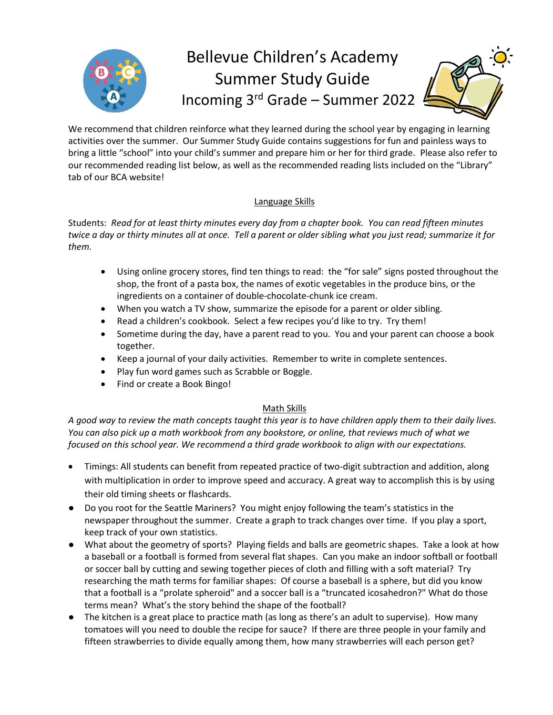

We recommend that children reinforce what they learned during the school year by engaging in learning activities over the summer. Our Summer Study Guide contains suggestions for fun and painless ways to bring a little "school" into your child's summer and prepare him or her for third grade. Please also refer to our recommended reading list below, as well as the recommended reading lists included on the "Library" tab of our BCA website!

## Language Skills

Students: *Read for at least thirty minutes every day from a chapter book. You can read fifteen minutes twice a day or thirty minutes all at once. Tell a parent or older sibling what you just read; summarize it for them.*

- Using online grocery stores, find ten things to read: the "for sale" signs posted throughout the shop, the front of a pasta box, the names of exotic vegetables in the produce bins, or the ingredients on a container of double-chocolate-chunk ice cream.
- When you watch a TV show, summarize the episode for a parent or older sibling.
- Read a children's cookbook. Select a few recipes you'd like to try. Try them!
- Sometime during the day, have a parent read to you. You and your parent can choose a book together.
- Keep a journal of your daily activities. Remember to write in complete sentences.
- Play fun word games such as Scrabble or Boggle.
- Find or create a Book Bingo!

## Math Skills

*A good way to review the math concepts taught this year is to have children apply them to their daily lives. You can also pick up a math workbook from any bookstore, or online, that reviews much of what we focused on this school year. We recommend a third grade workbook to align with our expectations.* 

- Timings: All students can benefit from repeated practice of two-digit subtraction and addition, along with multiplication in order to improve speed and accuracy. A great way to accomplish this is by using their old timing sheets or flashcards.
- Do you root for the Seattle Mariners? You might enjoy following the team's statistics in the newspaper throughout the summer. Create a graph to track changes over time. If you play a sport, keep track of your own statistics.
- What about the geometry of sports? Playing fields and balls are geometric shapes. Take a look at how a baseball or a football is formed from several flat shapes. Can you make an indoor softball or football or soccer ball by cutting and sewing together pieces of cloth and filling with a soft material? Try researching the math terms for familiar shapes: Of course a baseball is a sphere, but did you know that a football is a "prolate spheroid" and a soccer ball is a "truncated icosahedron?" What do those terms mean? What's the story behind the shape of the football?
- The kitchen is a great place to practice math (as long as there's an adult to supervise). How many tomatoes will you need to double the recipe for sauce? If there are three people in your family and fifteen strawberries to divide equally among them, how many strawberries will each person get?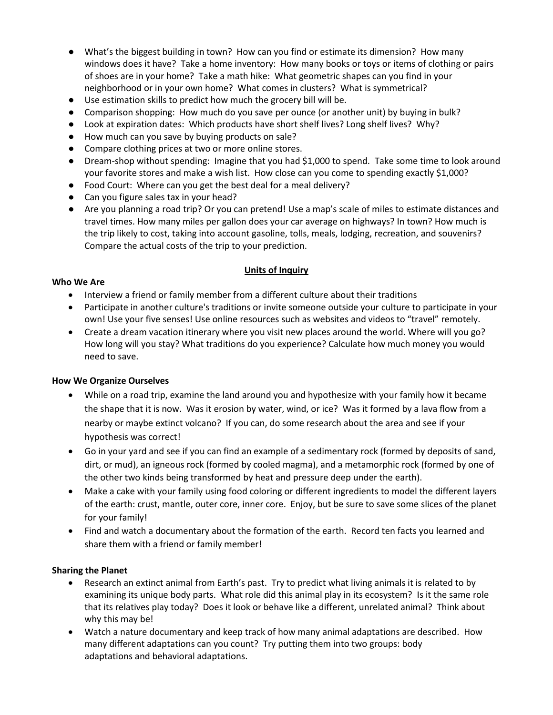- What's the biggest building in town? How can you find or estimate its dimension? How many windows does it have? Take a home inventory: How many books or toys or items of clothing or pairs of shoes are in your home? Take a math hike: What geometric shapes can you find in your neighborhood or in your own home? What comes in clusters? What is symmetrical?
- Use estimation skills to predict how much the grocery bill will be.
- Comparison shopping: How much do you save per ounce (or another unit) by buying in bulk?
- Look at expiration dates: Which products have short shelf lives? Long shelf lives? Why?
- How much can you save by buying products on sale?
- Compare clothing prices at two or more online stores.
- Dream-shop without spending: Imagine that you had \$1,000 to spend. Take some time to look around your favorite stores and make a wish list. How close can you come to spending exactly \$1,000?
- Food Court: Where can you get the best deal for a meal delivery?
- Can you figure sales tax in your head?
- Are you planning a road trip? Or you can pretend! Use a map's scale of miles to estimate distances and travel times. How many miles per gallon does your car average on highways? In town? How much is the trip likely to cost, taking into account gasoline, tolls, meals, lodging, recreation, and souvenirs? Compare the actual costs of the trip to your prediction.

## **Units of Inquiry**

#### **Who We Are**

- Interview a friend or family member from a different culture about their traditions
- Participate in another culture's traditions or invite someone outside your culture to participate in your own! Use your five senses! Use online resources such as websites and videos to "travel" remotely.
- Create a dream vacation itinerary where you visit new places around the world. Where will you go? How long will you stay? What traditions do you experience? Calculate how much money you would need to save.

#### **How We Organize Ourselves**

- While on a road trip, examine the land around you and hypothesize with your family how it became the shape that it is now. Was it erosion by water, wind, or ice? Was it formed by a lava flow from a nearby or maybe extinct volcano? If you can, do some research about the area and see if your hypothesis was correct!
- Go in your yard and see if you can find an example of a sedimentary rock (formed by deposits of sand, dirt, or mud), an igneous rock (formed by cooled magma), and a metamorphic rock (formed by one of the other two kinds being transformed by heat and pressure deep under the earth).
- Make a cake with your family using food coloring or different ingredients to model the different layers of the earth: crust, mantle, outer core, inner core. Enjoy, but be sure to save some slices of the planet for your family!
- Find and watch a documentary about the formation of the earth. Record ten facts you learned and share them with a friend or family member!

#### **Sharing the Planet**

- Research an extinct animal from Earth's past. Try to predict what living animals it is related to by examining its unique body parts. What role did this animal play in its ecosystem? Is it the same role that its relatives play today? Does it look or behave like a different, unrelated animal? Think about why this may be!
- Watch a nature documentary and keep track of how many animal adaptations are described. How many different adaptations can you count? Try putting them into two groups: body adaptations and behavioral adaptations.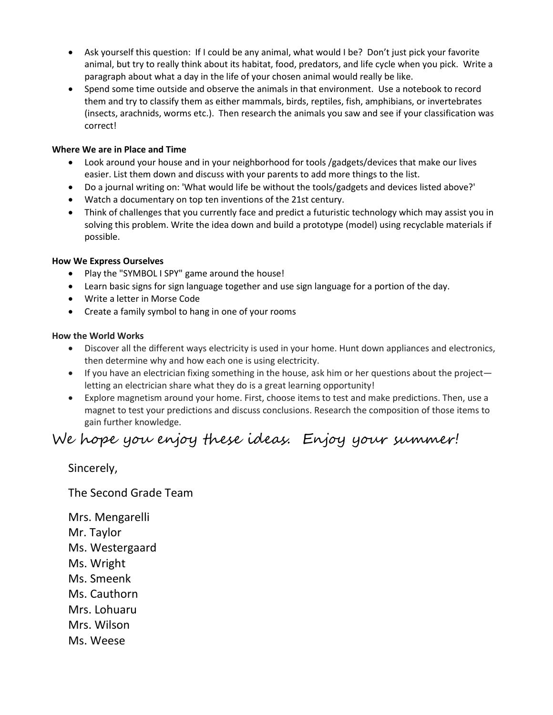- Ask yourself this question: If I could be any animal, what would I be? Don't just pick your favorite animal, but try to really think about its habitat, food, predators, and life cycle when you pick. Write a paragraph about what a day in the life of your chosen animal would really be like.
- Spend some time outside and observe the animals in that environment. Use a notebook to record them and try to classify them as either mammals, birds, reptiles, fish, amphibians, or invertebrates (insects, arachnids, worms etc.). Then research the animals you saw and see if your classification was correct!

#### **Where We are in Place and Time**

- Look around your house and in your neighborhood for tools /gadgets/devices that make our lives easier. List them down and discuss with your parents to add more things to the list.
- Do a journal writing on: 'What would life be without the tools/gadgets and devices listed above?'
- Watch a documentary on top ten inventions of the 21st century.
- Think of challenges that you currently face and predict a futuristic technology which may assist you in solving this problem. Write the idea down and build a prototype (model) using recyclable materials if possible.

### **How We Express Ourselves**

- Play the "SYMBOL I SPY" game around the house!
- Learn basic signs for sign language together and use sign language for a portion of the day.
- Write a letter in Morse Code
- Create a family symbol to hang in one of your rooms

### **How the World Works**

- Discover all the different ways electricity is used in your home. Hunt down appliances and electronics, then determine why and how each one is using electricity.
- If you have an electrician fixing something in the house, ask him or her questions about the project letting an electrician share what they do is a great learning opportunity!
- Explore magnetism around your home. First, choose items to test and make predictions. Then, use a magnet to test your predictions and discuss conclusions. Research the composition of those items to gain further knowledge.

# We hope you enjoy these ideas. Enjoy your summer!

Sincerely,

The Second Grade Team

Mrs. Mengarelli Mr. Taylor Ms. Westergaard Ms. Wright Ms. Smeenk Ms. Cauthorn Mrs. Lohuaru Mrs. Wilson Ms. Weese